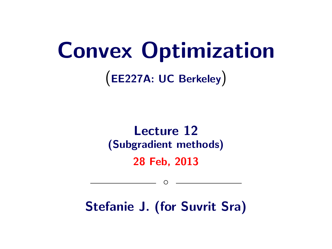# Convex Optimization

(EE227A: UC Berkeley)

#### Lecture 12 (Subgradient methods) 28 Feb, 2013

Stefanie J. (for Suvrit Sra)

 $\circ$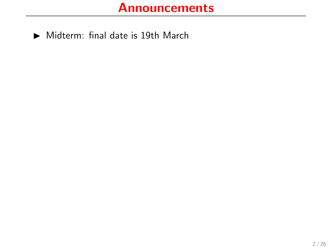#### **Announcements**

 $\blacktriangleright$  Midterm: final date is 19th March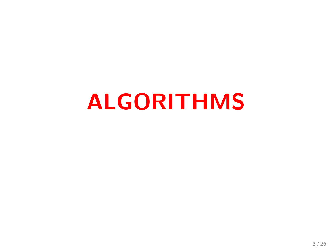# ALGORITHMS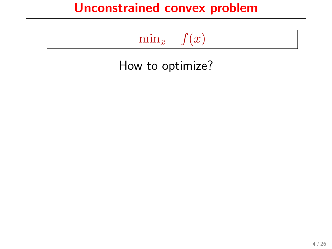# $\min_x$   $f(x)$

How to optimize?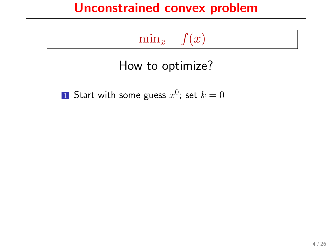# $\min_x$   $f(x)$

## How to optimize?

 $\bf{1}$  Start with some guess  $x^0$ ; set  $k=0$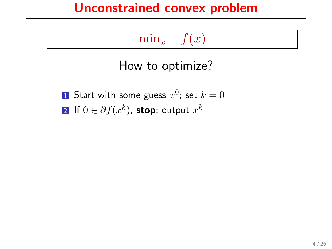## $\min_x f(x)$

## How to optimize?

 $\bf{1}$  Start with some guess  $x^0$ ; set  $k=0$  $\mathbf{2}$  If  $0\in\partial f(x^k)$ , stop; output  $x^k$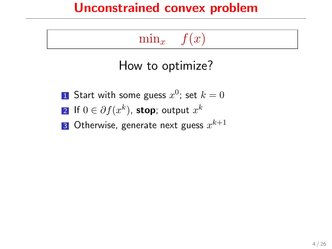# $\min_x$   $f(x)$

## How to optimize?

 $\bf{1}$  Start with some guess  $x^0$ ; set  $k=0$  $\mathbf{2}$  If  $0\in\partial f(x^k)$ , stop; output  $x^k$ 3 Otherwise, generate next guess  $x^{k+1}$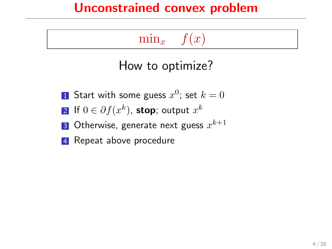## $\min_{x}$   $f(x)$

## How to optimize?

- $\bf{1}$  Start with some guess  $x^0$ ; set  $k=0$
- $\mathbf{2}$  If  $0\in\partial f(x^k)$ , stop; output  $x^k$
- 3 Otherwise, generate next guess  $x^{k+1}$
- **4** Repeat above procedure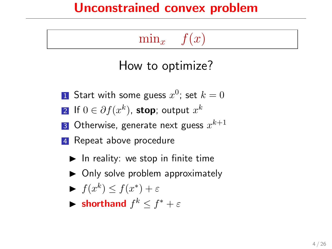# $\min_{x}$   $f(x)$

### How to optimize?

- $\bf{1}$  Start with some guess  $x^0$ ; set  $k=0$
- $\mathbf{2}$  If  $0\in\partial f(x^k)$ , stop; output  $x^k$
- 3 Otherwise, generate next guess  $x^{k+1}$
- **4** Repeat above procedure
	- $\blacktriangleright$  In reality: we stop in finite time
	- $\triangleright$  Only solve problem approximately
	- $\blacktriangleright$   $f(x^k) \leq f(x^*) + \varepsilon$
	- $\blacktriangleright$  **shorthand**  $f^k \leq f^* + \varepsilon$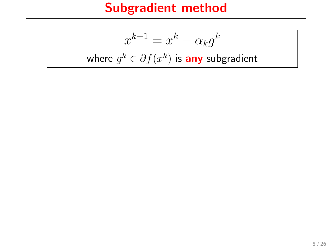# Subgradient method

$$
x^{k+1} = x^k - \alpha_k g^k
$$
  
where  $g^k \in \partial f(x^k)$  is **any** subgradient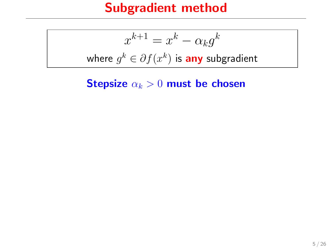#### Subgradient method

$$
x^{k+1} = x^k - \alpha_k g^k
$$
  
where  $g^k \in \partial f(x^k)$  is **any** subgradient

Stepsize  $\alpha_k > 0$  must be chosen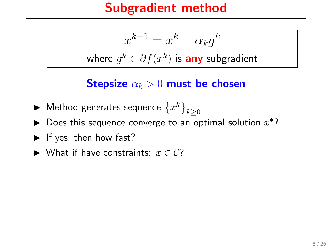#### Subgradient method

$$
x^{k+1} = x^k - \alpha_k g^k
$$
 where  $g^k \in \partial f(x^k)$  is **any** subgradient

Stepsize  $\alpha_k > 0$  must be chosen

- $\blacktriangleright$  Method generates sequence  $\left\{x^k\right\}_{k\geq 0}$
- ▶ Does this sequence converge to an optimal solution  $x^*$ ?
- $\blacktriangleright$  If yes, then how fast?
- ► What if have constraints:  $x \in C$ ?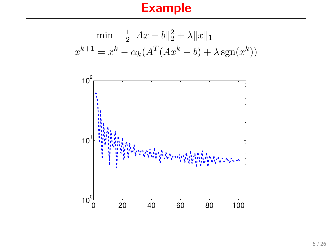# Example

$$
\min \frac{1}{2} \|Ax - b\|_2^2 + \lambda \|x\|_1
$$

$$
x^{k+1} = x^k - \alpha_k (A^T (Ax^k - b) + \lambda \operatorname{sgn}(x^k))
$$

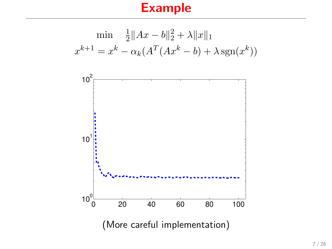#### Example

$$
\min \frac{1}{2} \|Ax - b\|_2^2 + \lambda \|x\|_1
$$
  

$$
x^{k+1} = x^k - \alpha_k (A^T (Ax^k - b) + \lambda \operatorname{sgn}(x^k))
$$

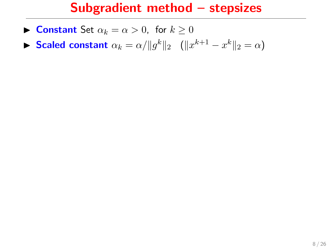#### Subgradient method – stepsizes

- **Constant** Set  $\alpha_k = \alpha > 0$ , for  $k \ge 0$
- **► Scaled constant**  $\alpha_k = \alpha / ||g^k||_2$  ( $||x^{k+1} x^k||_2 = \alpha$ )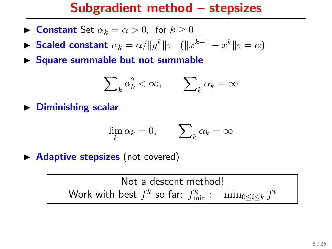#### Subgradient method – stepsizes

- **Constant** Set  $\alpha_k = \alpha > 0$ , for  $k > 0$
- **► Scaled constant**  $\alpha_k = \alpha / ||g^k||_2$  ( $||x^{k+1} x^k||_2 = \alpha$ )
- $\triangleright$  Square summable but not summable

$$
\sum\nolimits_k \alpha_k^2 < \infty, \qquad \sum\nolimits_k \alpha_k = \infty
$$

 $\triangleright$  Diminishing scalar

$$
\lim_{k} \alpha_k = 0, \qquad \sum_{k} \alpha_k = \infty
$$

 $\triangleright$  **Adaptive stepsizes** (not covered)

Not a descent method! Work with best  $f^k$  so far:  $f_{\min}^k := \min_{0 \leq i \leq k} f^i$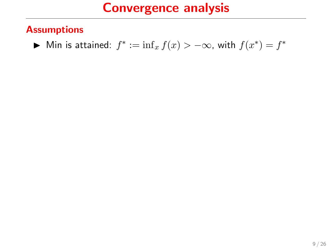#### **Assumptions**

► Min is attained:  $f^* := \inf_x f(x) > -\infty$ , with  $f(x^*) = f^*$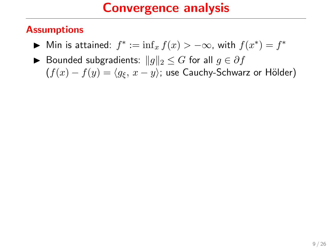#### **Assumptions**

- ► Min is attained:  $f^* := \inf_x f(x) > -\infty$ , with  $f(x^*) = f^*$
- ► Bounded subgradients:  $||g||_2 \leq G$  for all  $g \in \partial f$  $(f(x) - f(y) = \langle g_{\xi}, x - y \rangle)$ ; use Cauchy-Schwarz or Hölder)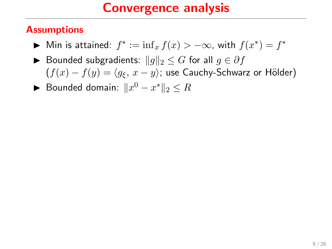#### **Assumptions**

- ► Min is attained:  $f^* := \inf_x f(x) > -\infty$ , with  $f(x^*) = f^*$
- ▶ Bounded subgradients:  $||g||_2 \leq G$  for all  $g \in \partial f$  $(f(x) - f(y) = \langle g_{\xi}, x - y \rangle)$ ; use Cauchy-Schwarz or Hölder)
- ► Bounded domain:  $||x^0 x^*||_2 \leq R$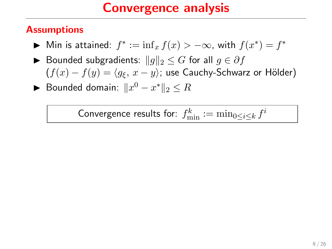#### **Assumptions**

- ► Min is attained:  $f^* := \inf_x f(x) > -\infty$ , with  $f(x^*) = f^*$
- ▶ Bounded subgradients:  $||g||_2 \leq G$  for all  $g \in \partial f$  $(f(x) - f(y) = \langle g_{\xi}, x - y \rangle)$ ; use Cauchy-Schwarz or Hölder)
- ► Bounded domain:  $||x^0 x^*||_2 \leq R$

Convergence results for:  $f_{\min}^k := \min_{0 \leq i \leq k} f^i$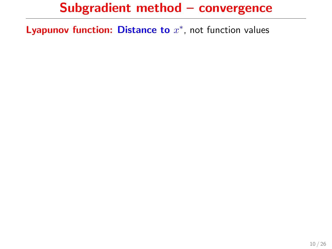Lyapunov function: Distance to  $x^*$ , not function values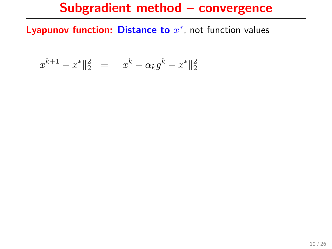Lyapunov function: Distance to  $x^*$ , not function values

$$
\|x^{k+1}-x^*\|_2^2 \ \ = \ \ \|x^k-\alpha_k g^k - x^*\|_2^2
$$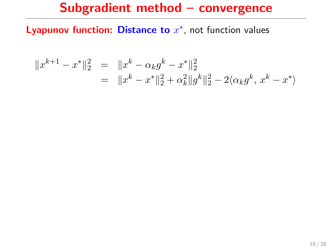Lyapunov function: Distance to  $x^*$ , not function values

$$
||x^{k+1} - x^*||_2^2 = ||x^k - \alpha_k g^k - x^*||_2^2
$$
  
= 
$$
||x^k - x^*||_2^2 + \alpha_k^2 ||g^k||_2^2 - 2\langle \alpha_k g^k, x^k - x^* \rangle
$$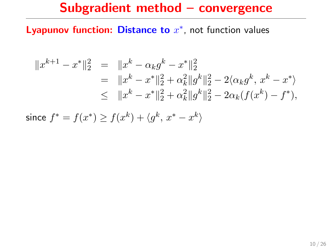Lyapunov function: Distance to  $x^*$ , not function values

$$
||x^{k+1} - x^*||_2^2 = ||x^k - \alpha_k g^k - x^*||_2^2
$$
  
=  $||x^k - x^*||_2^2 + \alpha_k^2 ||g^k||_2^2 - 2 \langle \alpha_k g^k, x^k - x^* \rangle$   
 $\leq ||x^k - x^*||_2^2 + \alpha_k^2 ||g^k||_2^2 - 2 \alpha_k (f(x^k) - f^*),$ 

since  $f^* = f(x^*) \geq f(x^k) + \langle g^k, x^* - x^k \rangle$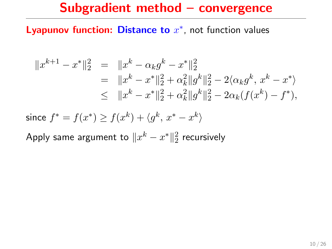#### Lyapunov function: Distance to  $x^*$ , not function values

$$
||x^{k+1} - x^*||_2^2 = ||x^k - \alpha_k g^k - x^*||_2^2
$$
  
=  $||x^k - x^*||_2^2 + \alpha_k^2 ||g^k||_2^2 - 2 \langle \alpha_k g^k, x^k - x^* \rangle$   
 $\leq ||x^k - x^*||_2^2 + \alpha_k^2 ||g^k||_2^2 - 2 \alpha_k (f(x^k) - f^*),$ 

since 
$$
f^* = f(x^*) \ge f(x^k) + \langle g^k, x^* - x^k \rangle
$$

Apply same argument to  $\|x^k - x^*\|_2^2$  recursively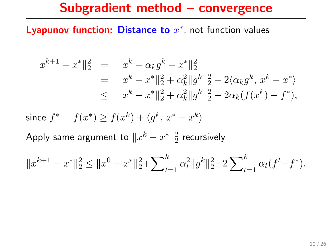#### Lyapunov function: Distance to  $x^*$ , not function values

$$
||x^{k+1} - x^*||_2^2 = ||x^k - \alpha_k g^k - x^*||_2^2
$$
  
=  $||x^k - x^*||_2^2 + \alpha_k^2 ||g^k||_2^2 - 2 \langle \alpha_k g^k, x^k - x^* \rangle$   
 $\leq ||x^k - x^*||_2^2 + \alpha_k^2 ||g^k||_2^2 - 2 \alpha_k (f(x^k) - f^*),$ 

since  $f^* = f(x^*) \geq f(x^k) + \langle g^k, x^* - x^k \rangle$ 

Apply same argument to  $\|x^k - x^*\|_2^2$  recursively

$$
||x^{k+1} - x^*||_2^2 \le ||x^0 - x^*||_2^2 + \sum_{t=1}^k \alpha_t^2 ||g^k||_2^2 - 2 \sum_{t=1}^k \alpha_t (f^t - f^*).
$$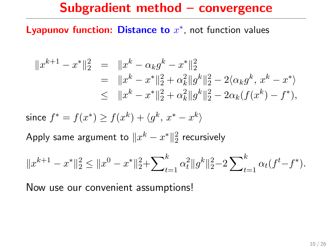#### Lyapunov function: Distance to  $x^*$ , not function values

$$
||x^{k+1} - x^*||_2^2 = ||x^k - \alpha_k g^k - x^*||_2^2
$$
  
=  $||x^k - x^*||_2^2 + \alpha_k^2 ||g^k||_2^2 - 2 \langle \alpha_k g^k, x^k - x^* \rangle$   
 $\leq ||x^k - x^*||_2^2 + \alpha_k^2 ||g^k||_2^2 - 2 \alpha_k (f(x^k) - f^*),$ 

since  $f^* = f(x^*) \geq f(x^k) + \langle g^k, x^* - x^k \rangle$ 

Apply same argument to  $\|x^k - x^*\|_2^2$  recursively

$$
||x^{k+1} - x^*||_2^2 \le ||x^0 - x^*||_2^2 + \sum_{t=1}^k \alpha_t^2 ||g^k||_2^2 - 2 \sum_{t=1}^k \alpha_t (f^t - f^*).
$$

Now use our convenient assumptions!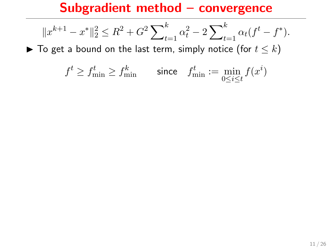$$
||x^{k+1} - x^*||_2^2 \le R^2 + G^2 \sum_{t=1}^k \alpha_t^2 - 2 \sum_{t=1}^k \alpha_t (f^t - f^*).
$$

 $\blacktriangleright$  To get a bound on the last term, simply notice (for  $t \leq k$ )

$$
f^t \geq f^t_{\min} \geq f^k_{\min} \qquad \text{since} \quad f^t_{\min} := \min_{0 \leq i \leq t} f(x^i)
$$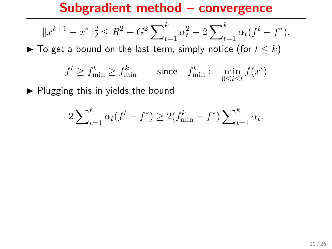$$
||x^{k+1} - x^*||_2^2 \le R^2 + G^2 \sum_{t=1}^k \alpha_t^2 - 2 \sum_{t=1}^k \alpha_t (f^t - f^*).
$$

 $\blacktriangleright$  To get a bound on the last term, simply notice (for  $t \leq k$ )

$$
f^t \geq f^t_{\min} \geq f^k_{\min} \qquad \text{since} \quad f^t_{\min} := \min_{0 \leq i \leq t} f(x^i)
$$

 $\blacktriangleright$  Plugging this in yields the bound

$$
2\sum_{t=1}^{k} \alpha_t (f^t - f^*) \ge 2(f_{\min}^k - f^*) \sum_{t=1}^{k} \alpha_t.
$$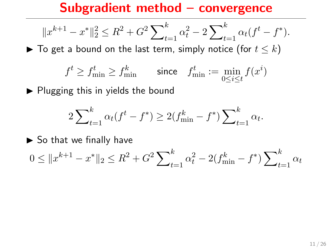$$
||x^{k+1} - x^*||_2^2 \le R^2 + G^2 \sum_{t=1}^k \alpha_t^2 - 2 \sum_{t=1}^k \alpha_t (f^t - f^*).
$$

 $\blacktriangleright$  To get a bound on the last term, simply notice (for  $t \leq k$ )

$$
f^t \geq f^t_{\min} \geq f^k_{\min} \qquad \text{since} \quad f^t_{\min} := \min_{0 \leq i \leq t} f(x^i)
$$

 $\blacktriangleright$  Plugging this in yields the bound

$$
2\sum_{t=1}^{k} \alpha_t (f^t - f^*) \ge 2(f_{\min}^k - f^*) \sum_{t=1}^{k} \alpha_t.
$$

 $\triangleright$  So that we finally have

$$
0 \le ||x^{k+1} - x^*||_2 \le R^2 + G^2 \sum\nolimits_{t=1}^k \alpha_t^2 - 2(f_{\min}^k - f^*) \sum\nolimits_{t=1}^k \alpha_t
$$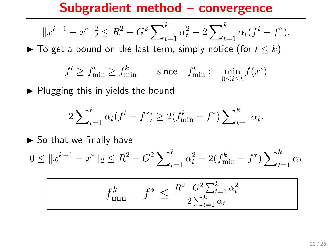$$
||x^{k+1} - x^*||_2^2 \le R^2 + G^2 \sum_{t=1}^k \alpha_t^2 - 2 \sum_{t=1}^k \alpha_t (f^t - f^*).
$$

 $\blacktriangleright$  To get a bound on the last term, simply notice (for  $t \leq k$ )

$$
f^t \geq f^t_{\min} \geq f^k_{\min} \qquad \text{since} \quad f^t_{\min} := \min_{0 \leq i \leq t} f(x^i)
$$

 $\blacktriangleright$  Plugging this in yields the bound

$$
2\sum_{t=1}^{k} \alpha_t (f^t - f^*) \ge 2(f_{\min}^k - f^*) \sum_{t=1}^{k} \alpha_t.
$$

 $\triangleright$  So that we finally have

$$
0 \le ||x^{k+1} - x^*||_2 \le R^2 + G^2 \sum_{t=1}^k \alpha_t^2 - 2(f_{\min}^k - f^*) \sum_{t=1}^k \alpha_t
$$

$$
f_{\min}^k - f^* \le \frac{R^2 + G^2 \sum_{t=1}^k \alpha_t^2}{2 \sum_{t=1}^k \alpha_t}
$$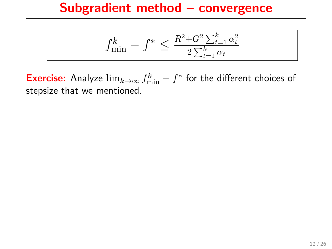$$
f_{\min}^k - f^* \le \frac{R^2 + G^2 \sum_{t=1}^k \alpha_t^2}{2 \sum_{t=1}^k \alpha_t}
$$

**Exercise:** Analyze  $\lim_{k\to\infty} f_{\min}^k - f^*$  for the different choices of stepsize that we mentioned.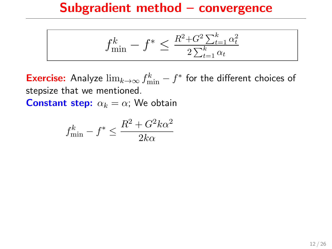$$
f_{\min}^k - f^* \le \frac{R^2 + G^2 \sum_{t=1}^k \alpha_t^2}{2 \sum_{t=1}^k \alpha_t}
$$

**Exercise:** Analyze  $\lim_{k\to\infty} f_{\min}^k - f^*$  for the different choices of stepsize that we mentioned.

**Constant step:**  $\alpha_k = \alpha$ ; We obtain

$$
f_{\min}^k - f^* \le \frac{R^2 + G^2 k \alpha^2}{2k\alpha}
$$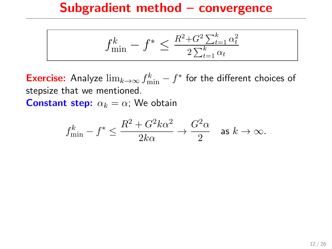$$
f_{\min}^k - f^* \le \frac{R^2 + G^2 \sum_{t=1}^k \alpha_t^2}{2 \sum_{t=1}^k \alpha_t}
$$

**Exercise:** Analyze  $\lim_{k\to\infty} f_{\min}^k - f^*$  for the different choices of stepsize that we mentioned.

**Constant step:**  $\alpha_k = \alpha$ ; We obtain

$$
f_{\min}^k - f^* \leq \frac{R^2 + G^2 k \alpha^2}{2k\alpha} \to \frac{G^2 \alpha}{2} \quad \text{as } k \to \infty.
$$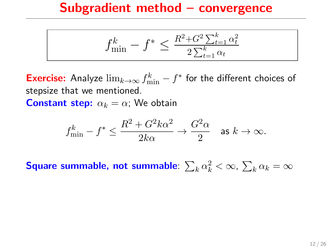$$
f_{\min}^k - f^* \le \frac{R^2 + G^2 \sum_{t=1}^k \alpha_t^2}{2 \sum_{t=1}^k \alpha_t}
$$

**Exercise:** Analyze  $\lim_{k\to\infty} f_{\min}^k - f^*$  for the different choices of stepsize that we mentioned.

**Constant step:**  $\alpha_k = \alpha$ ; We obtain

$$
f_{\min}^k - f^* \leq \frac{R^2 + G^2 k \alpha^2}{2k\alpha} \to \frac{G^2 \alpha}{2} \quad \text{as } k \to \infty.
$$

Square summable, not summable:  $\sum_k \alpha_k^2 < \infty$ ,  $\sum_k \alpha_k = \infty$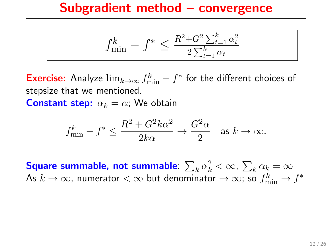$$
f_{\min}^k - f^* \le \frac{R^2 + G^2 \sum_{t=1}^k \alpha_t^2}{2 \sum_{t=1}^k \alpha_t}
$$

**Exercise:** Analyze  $\lim_{k\to\infty} f_{\min}^k - f^*$  for the different choices of stepsize that we mentioned.

**Constant step:**  $\alpha_k = \alpha$ ; We obtain

$$
f_{\min}^k - f^* \leq \frac{R^2 + G^2 k \alpha^2}{2k\alpha} \to \frac{G^2 \alpha}{2} \quad \text{as } k \to \infty.
$$

Square summable, not summable:  $\sum_k \alpha_k^2 < \infty$ ,  $\sum_k \alpha_k = \infty$ As  $k\to\infty$ , numerator  $<\infty$  but denominator  $\to\infty$ ; so  $f_{\min}^k\to f^*$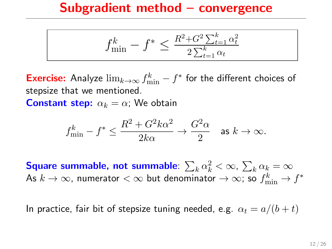$$
f_{\min}^k - f^* \le \frac{R^2 + G^2 \sum_{t=1}^k \alpha_t^2}{2 \sum_{t=1}^k \alpha_t}
$$

**Exercise:** Analyze  $\lim_{k\to\infty} f_{\min}^k - f^*$  for the different choices of stepsize that we mentioned.

**Constant step:**  $\alpha_k = \alpha$ ; We obtain

$$
f_{\min}^k - f^* \leq \frac{R^2 + G^2 k \alpha^2}{2k\alpha} \to \frac{G^2 \alpha}{2} \quad \text{as } k \to \infty.
$$

Square summable, not summable:  $\sum_k \alpha_k^2 < \infty$ ,  $\sum_k \alpha_k = \infty$ As  $k\to\infty$ , numerator  $<\infty$  but denominator  $\to\infty$ ; so  $f_{\min}^k\to f^*$ 

In practice, fair bit of stepsize tuning needed, e.g.  $\alpha_t = a/(b + t)$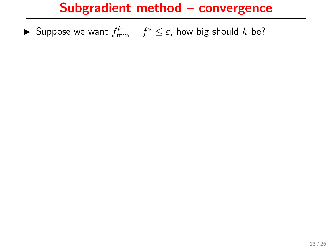► Suppose we want  $f_{\min}^k - f^* \leq \varepsilon$ , how big should  $k$  be?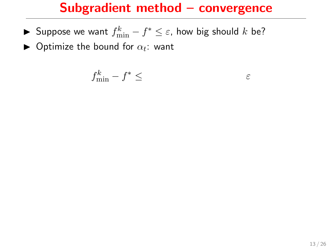- ► Suppose we want  $f_{\min}^k f^* \leq \varepsilon$ , how big should  $k$  be?
- $\blacktriangleright$  Optimize the bound for  $\alpha_t$ : want

$$
f_{\min}^k - f^* \leq \qquad \qquad \varepsilon
$$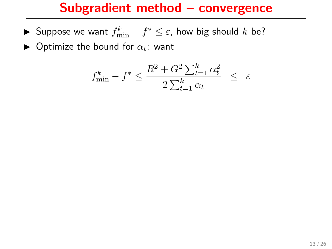- ► Suppose we want  $f_{\min}^k f^* \leq \varepsilon$ , how big should  $k$  be?
- $\blacktriangleright$  Optimize the bound for  $\alpha_t$ : want

$$
f_{\min}^k - f^* \le \frac{R^2 + G^2 \sum_{t=1}^k \alpha_t^2}{2 \sum_{t=1}^k \alpha_t} \le \varepsilon
$$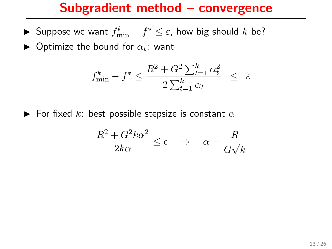- ► Suppose we want  $f_{\min}^k f^* \leq \varepsilon$ , how big should  $k$  be?
- $\blacktriangleright$  Optimize the bound for  $\alpha_t$ : want

$$
f_{\min}^k - f^* \le \frac{R^2 + G^2 \sum_{t=1}^k \alpha_t^2}{2 \sum_{t=1}^k \alpha_t} \le \varepsilon
$$

 $\blacktriangleright$  For fixed k: best possible stepsize is constant  $\alpha$ 

$$
\frac{R^2 + G^2 k \alpha^2}{2k\alpha} \le \epsilon \quad \Rightarrow \quad \alpha = \frac{R}{G\sqrt{k}}
$$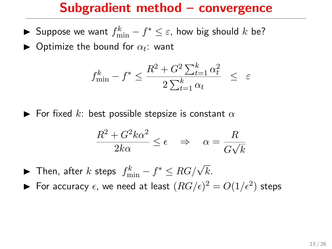- ► Suppose we want  $f_{\min}^k f^* \leq \varepsilon$ , how big should  $k$  be?
- $\blacktriangleright$  Optimize the bound for  $\alpha_t$ : want

$$
f_{\min}^k - f^* \le \frac{R^2 + G^2 \sum_{t=1}^k \alpha_t^2}{2 \sum_{t=1}^k \alpha_t} \le \varepsilon
$$

 $\blacktriangleright$  For fixed k: best possible stepsize is constant  $\alpha$ 

$$
\frac{R^2 + G^2 k \alpha^2}{2k\alpha} \le \epsilon \quad \Rightarrow \quad \alpha = \frac{R}{G\sqrt{k}}
$$

- ▶ Then, after  $k$  steps  $f_{\min}^k f^* \le RG/\sqrt{k}$ .
- $\blacktriangleright$  For accuracy  $\epsilon$ , we need at least  $(RG/\epsilon)^2 = O(1/\epsilon^2)$  steps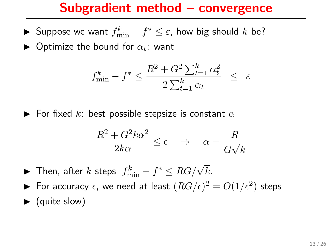- ► Suppose we want  $f_{\min}^k f^* \leq \varepsilon$ , how big should  $k$  be?
- $\blacktriangleright$  Optimize the bound for  $\alpha_t$ : want

$$
f_{\min}^k - f^* \le \frac{R^2 + G^2 \sum_{t=1}^k \alpha_t^2}{2 \sum_{t=1}^k \alpha_t} \le \varepsilon
$$

 $\blacktriangleright$  For fixed k: best possible stepsize is constant  $\alpha$ 

$$
\frac{R^2 + G^2 k \alpha^2}{2k\alpha} \le \epsilon \quad \Rightarrow \quad \alpha = \frac{R}{G\sqrt{k}}
$$

- ▶ Then, after  $k$  steps  $f_{\min}^k f^* \le RG/\sqrt{k}$ .
- $\blacktriangleright$  For accuracy  $\epsilon$ , we need at least  $(RG/\epsilon)^2 = O(1/\epsilon^2)$  steps
- $\blacktriangleright$  (quite slow)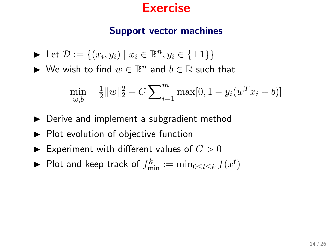#### Support vector machines

$$
\blacktriangleright \ \mathsf{Let} \ \mathcal{D} := \{ (x_i, y_i) \mid x_i \in \mathbb{R}^n, y_i \in \{\pm 1\} \}
$$

 $\blacktriangleright$  We wish to find  $w \in \mathbb{R}^n$  and  $b \in \mathbb{R}$  such that

$$
\min_{w,b} \quad \frac{1}{2} ||w||_2^2 + C \sum_{i=1}^m \max[0, 1 - y_i(w^T x_i + b)]
$$

- $\triangleright$  Derive and implement a subgradient method
- $\blacktriangleright$  Plot evolution of objective function
- $\blacktriangleright$  Experiment with different values of  $C > 0$
- ▶ Plot and keep track of  $f_{\textsf{min}}^k := \min_{0 \leq t \leq k} f(x^t)$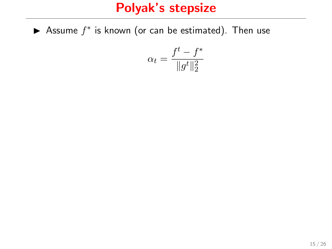Assume  $f^*$  is known (or can be estimated). Then use

$$
\alpha_t = \frac{f^t - f^*}{\|g^t\|_2^2}
$$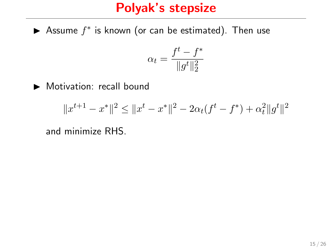Assume  $f^*$  is known (or can be estimated). Then use

$$
\alpha_t = \frac{f^t - f^*}{\|g^t\|_2^2}
$$

Motivation: recall bound

$$
||x^{t+1} - x^*||^2 \le ||x^t - x^*||^2 - 2\alpha_t(f^t - f^*) + \alpha_t^2 ||g^t||^2
$$

and minimize RHS.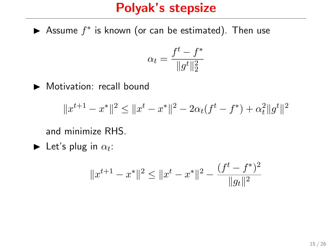Assume  $f^*$  is known (or can be estimated). Then use

$$
\alpha_t = \frac{f^t - f^*}{\|g^t\|_2^2}
$$

Motivation: recall bound

$$
||x^{t+1} - x^*||^2 \le ||x^t - x^*||^2 - 2\alpha_t(f^t - f^*) + \alpha_t^2 ||g^t||^2
$$

and minimize RHS.

Let's plug in 
$$
\alpha_t
$$
:

$$
||x^{t+1} - x^*||^2 \le ||x^t - x^*||^2 - \frac{(f^t - f^*)^2}{||g_t||^2}
$$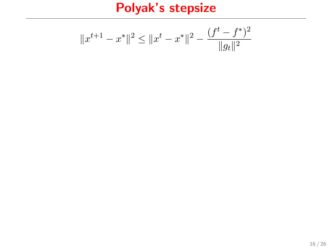$$
||x^{t+1} - x^*||^2 \le ||x^t - x^*||^2 - \frac{(f^t - f^*)^2}{||g_t||^2}
$$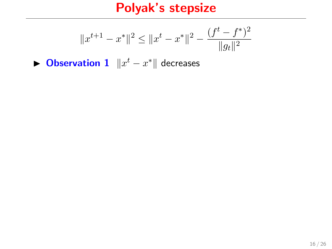$$
||x^{t+1} - x^*||^2 \le ||x^t - x^*||^2 - \frac{(f^t - f^*)^2}{||g_t||^2}
$$

▶ Observation  $1 \parallel x^t - x^* \parallel$  decreases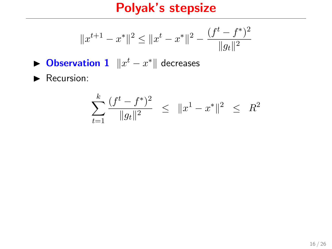$$
||x^{t+1} - x^*||^2 \le ||x^t - x^*||^2 - \frac{(f^t - f^*)^2}{||g_t||^2}
$$

- ▶ Observation  $1 \parallel x^t x^* \parallel$  decreases
- $\blacktriangleright$  Recursion:

$$
\sum_{t=1}^{k} \frac{(f^t - f^*)^2}{\|g_t\|^2} \leq \|x^1 - x^*\|^2 \leq R^2
$$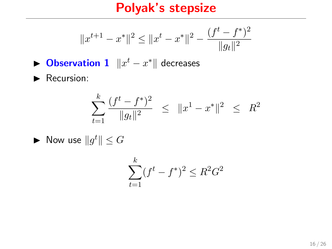$$
||x^{t+1} - x^*||^2 \le ||x^t - x^*||^2 - \frac{(f^t - f^*)^2}{||g_t||^2}
$$

- ▶ Observation  $1 \parallel x^t x^* \parallel$  decreases
- $\blacktriangleright$  Recursion:

$$
\sum_{t=1}^{k} \frac{(f^t - f^*)^2}{\|g_t\|^2} \leq \|x^1 - x^*\|^2 \leq R^2
$$

 $\blacktriangleright$  Now use  $||g^t|| \leq G$ 

$$
\sum_{t=1}^{k} (f^t - f^*)^2 \le R^2 G^2
$$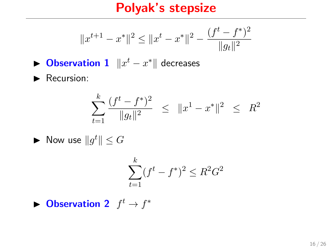$$
||x^{t+1}-x^*||^2 \le ||x^t-x^*||^2 - \frac{(f^t-f^*)^2}{||g_t||^2}
$$

- ▶ Observation  $1 \parallel x^t x^* \parallel$  decreases
- $\blacktriangleright$  Recursion:

$$
\sum_{t=1}^{k} \frac{(f^t - f^*)^2}{\|g_t\|^2} \leq \|x^1 - x^*\|^2 \leq R^2
$$

$$
\blacktriangleright \text{ Now use } \|g^t\| \leq G
$$

$$
\sum_{t=1}^{k} (f^t - f^*)^2 \le R^2 G^2
$$

 $\blacktriangleright$  Observation 2  $f^t \rightarrow f^*$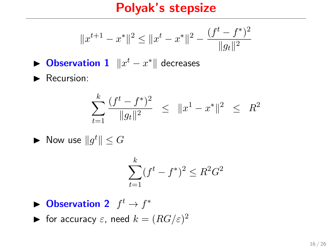$$
||x^{t+1} - x^*||^2 \le ||x^t - x^*||^2 - \frac{(f^t - f^*)^2}{||g_t||^2}
$$

- ▶ Observation  $1 \parallel x^t x^* \parallel$  decreases
- $\blacktriangleright$  Recursion:

$$
\sum_{t=1}^{k} \frac{(f^t - f^*)^2}{\|g_t\|^2} \leq \|x^1 - x^*\|^2 \leq R^2
$$

 $\blacktriangleright$  Now use  $||g^t|| \leq G$ 

$$
\sum_{t=1}^{k} (f^t - f^*)^2 \le R^2 G^2
$$

 $\blacktriangleright$  Observation 2  $f^t \rightarrow f^*$ 

ightharpoonup for accuracy  $\varepsilon$ , need  $k = (RG/\varepsilon)^2$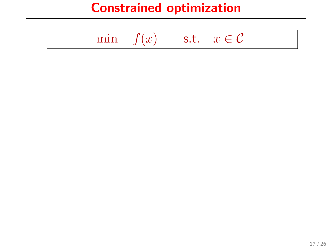# Constrained optimization

|--|--|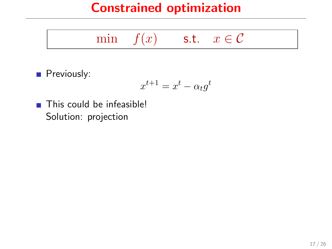# Constrained optimization

min  $f(x)$  s.t.  $x \in \mathcal{C}$ 

Previously:

$$
x^{t+1} = x^t - \alpha_t g^t
$$

■ This could be infeasible! Solution: projection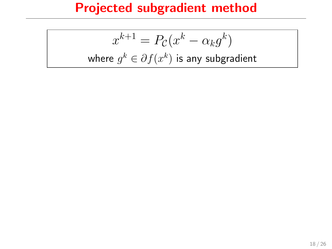# Projected subgradient method

$$
x^{k+1} = P_{\mathcal{C}}(x^k - \alpha_k g^k)
$$
  
where  $g^k \in \partial f(x^k)$  is any subgradient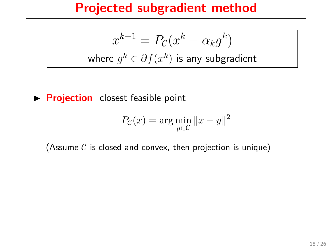### Projected subgradient method

$$
x^{k+1} = P_{\mathcal{C}}(x^k - \alpha_k g^k)
$$
  
where  $g^k \in \partial f(x^k)$  is any subgradient

**Projection** closest feasible point

$$
P_{\mathcal{C}}(x) = \arg\min_{y \in \mathcal{C}} \|x - y\|^2
$$

(Assume  $C$  is closed and convex, then projection is unique)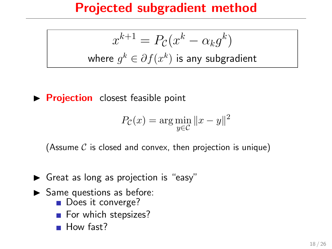# Projected subgradient method

$$
x^{k+1} = P_{\mathcal{C}}(x^k - \alpha_k g^k)
$$
  
where  $g^k \in \partial f(x^k)$  is any subgradient

 $\triangleright$  **Projection** closest feasible point

$$
P_{\mathcal{C}}(x) = \arg\min_{y \in \mathcal{C}} \|x - y\|^2
$$

(Assume  $\mathcal C$  is closed and convex, then projection is unique)

- $\triangleright$  Great as long as projection is "easy"
- $\blacktriangleright$  Same questions as before:
	- Does it converge?
	- For which stepsizes?  $\mathcal{L}^{\text{max}}$
	- How fast?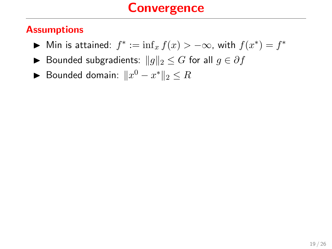### **Convergence**

#### **Assumptions**

- ► Min is attained:  $f^* := \inf_x f(x) > -\infty$ , with  $f(x^*) = f^*$
- ► Bounded subgradients:  $||g||_2 \leq G$  for all  $g \in \partial f$
- ► Bounded domain:  $||x^0 x^*||_2 \leq R$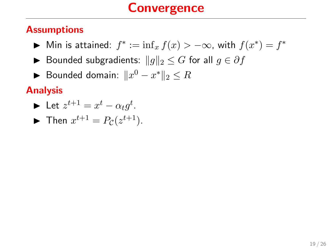# **Convergence**

#### **Assumptions**

- ► Min is attained:  $f^* := \inf_x f(x) > -\infty$ , with  $f(x^*) = f^*$
- ► Bounded subgradients:  $||g||_2 \leq G$  for all  $g \in \partial f$
- ► Bounded domain:  $||x^0 x^*||_2 \leq R$

#### Analysis

$$
\blacktriangleright \ \mathsf{Let} \ z^{t+1} = x^t - \alpha_t g^t.
$$

$$
\blacktriangleright \text{ Then } x^{t+1} = P_{\mathcal{C}}(z^{t+1}).
$$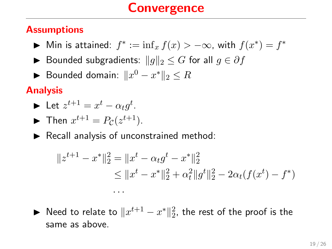#### **Assumptions**

- ► Min is attained:  $f^* := \inf_x f(x) > -\infty$ , with  $f(x^*) = f^*$
- ▶ Bounded subgradients:  $||g||_2 \leq G$  for all  $g \in \partial f$
- ► Bounded domain:  $||x^0 x^*||_2 \leq R$

#### Analysis

$$
\blacktriangleright \ \mathsf{Let} \ z^{t+1} = x^t - \alpha_t g^t.
$$

 $\blacktriangleright$  Then  $x^{t+1} = P_{\mathcal{C}}(z^{t+1})$ .

 $\blacktriangleright$  Recall analysis of unconstrained method:

. . .

$$
||z^{t+1} - x^*||_2^2 = ||x^t - \alpha_t g^t - x^*||_2^2
$$
  
\n
$$
\le ||x^t - x^*||_2^2 + \alpha_t^2 ||g^t||_2^2 - 2\alpha_t (f(x^t) - f^*)
$$

▶ Need to relate to  $\|x^{t+1} - x^*\|_2^2$ , the rest of the proof is the same as above.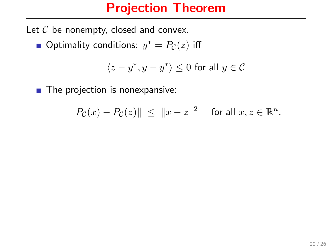### Projection Theorem

Let  $C$  be nonempty, closed and convex.

Optimality conditions:  $y^* = P_{\mathcal{C}}(z)$  iff

$$
\langle z-y^*,y-y^*\rangle\leq 0\text{ for all }y\in\mathcal{C}
$$

**The projection is nonexpansive:** 

$$
||P_{\mathcal{C}}(x) - P_{\mathcal{C}}(z)|| \le ||x - z||^2 \quad \text{ for all } x, z \in \mathbb{R}^n.
$$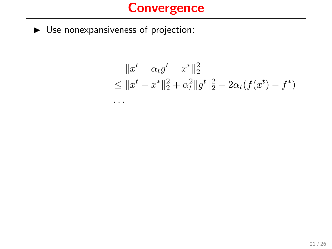# **Convergence**

 $\blacktriangleright$  Use nonexpansiveness of projection:

. . .

$$
||x^{t} - \alpha_{t}g^{t} - x^{*}||_{2}^{2}
$$
  
\n
$$
\leq ||x^{t} - x^{*}||_{2}^{2} + \alpha_{t}^{2}||g^{t}||_{2}^{2} - 2\alpha_{t}(f(x^{t}) - f^{*})
$$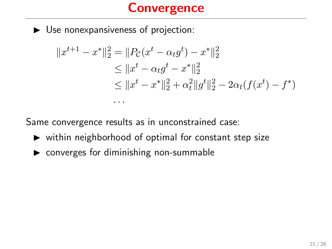# **Convergence**

 $\blacktriangleright$  Use nonexpansiveness of projection:

$$
||x^{t+1} - x^*||_2^2 = ||P_C(x^t - \alpha_t g^t) - x^*||_2^2
$$
  
\n
$$
\leq ||x^t - \alpha_t g^t - x^*||_2^2
$$
  
\n
$$
\leq ||x^t - x^*||_2^2 + \alpha_t^2 ||g^t||_2^2 - 2\alpha_t (f(x^t) - f^*)
$$

Same convergence results as in unconstrained case:

- $\triangleright$  within neighborhood of optimal for constant step size
- $\triangleright$  converges for diminishing non-summable

. . .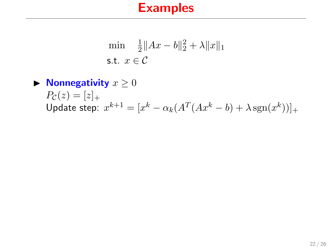$$
\min \quad \frac{1}{2} \|Ax - b\|_2^2 + \lambda \|x\|_1
$$
\n
$$
\text{s.t. } x \in \mathcal{C}
$$

#### $\blacktriangleright$  Nonnegativity  $x \geq 0$  $P_{\mathcal{C}}(z) = [z]_{+}$ Update step:  $x^{k+1} = [x^k - \alpha_k(A^T(Ax^k - b) + \lambda \operatorname{sgn}(x^k))]_+$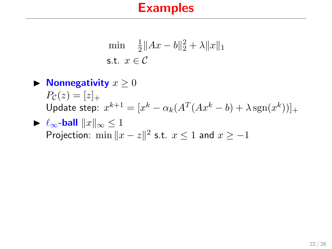$$
\min \quad \frac{1}{2} \|Ax - b\|_2^2 + \lambda \|x\|_1
$$
\n
$$
\text{s.t. } x \in \mathcal{C}
$$

#### $\blacktriangleright$  Nonnegativity  $x \geq 0$  $P_{\mathcal{C}}(z) = |z|_{+}$ Update step:  $x^{k+1} = [x^k - \alpha_k(A^T(Ax^k - b) + \lambda \operatorname{sgn}(x^k))]_+$  $\blacktriangleright$   $\ell_{\infty}$ -ball  $||x||_{\infty} \leq 1$

Projection: 
$$
\min \|x - z\|^2
$$
 s.t.  $x \le 1$  and  $x \ge -1$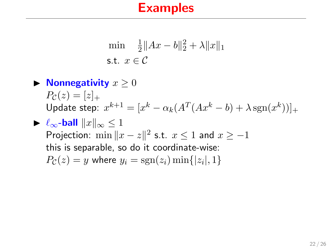$$
\min \quad \frac{1}{2} \|Ax - b\|_2^2 + \lambda \|x\|_1
$$
\n
$$
\text{s.t. } x \in \mathcal{C}
$$

# $\blacktriangleright$  Nonnegativity  $x \geq 0$  $P_{\mathcal{C}}(z) = |z|_{+}$ Update step:  $x^{k+1} = [x^k - \alpha_k(A^T(Ax^k - b) + \lambda \operatorname{sgn}(x^k))]_+$  $\triangleright \ell_{\infty}$ -ball  $||x||_{\infty} \leq 1$

Projection:  $\min \|x - z\|^2$  s.t.  $x \le 1$  and  $x \ge -1$ this is separable, so do it coordinate-wise:  $P_{\mathcal{C}}(z) = y$  where  $y_i = \text{sgn}(z_i) \min\{|z_i|, 1\}$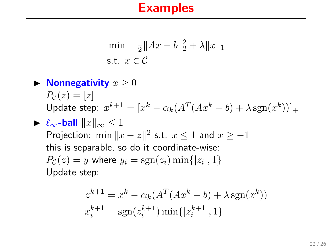$$
\min \quad \frac{1}{2} \|Ax - b\|_2^2 + \lambda \|x\|_1
$$
\n
$$
\text{s.t. } x \in \mathcal{C}
$$

#### $\blacktriangleright$  Nonnegativity  $x \geq 0$  $P_{\mathcal{C}}(z) = |z|_{+}$ Update step:  $x^{k+1} = [x^k - \alpha_k(A^T(Ax^k - b) + \lambda \operatorname{sgn}(x^k))]_+$  $\triangleright \ell_{\infty}$ -ball  $||x||_{\infty} \leq 1$ Projection:  $\min \|x - z\|^2$  s.t.  $x \le 1$  and  $x \ge -1$ this is separable, so do it coordinate-wise:

 $P_{\mathcal{C}}(z) = y$  where  $y_i = \text{sgn}(z_i) \min\{|z_i|, 1\}$ Update step:

$$
z^{k+1} = x^k - \alpha_k (A^T (Ax^k - b) + \lambda \operatorname{sgn}(x^k))
$$
  

$$
x_i^{k+1} = \operatorname{sgn}(z_i^{k+1}) \min\{|z_i^{k+1}|, 1\}
$$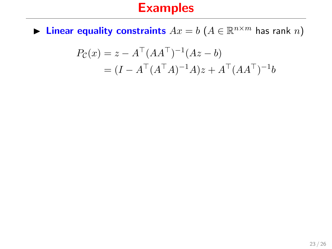**Linear equality constraints**  $Ax = b$   $(A \in \mathbb{R}^{n \times m}$  has rank n)

$$
P_{\mathcal{C}}(x) = z - A^{\top} (A A^{\top})^{-1} (A z - b)
$$
  
=  $(I - A^{\top} (A^{\top} A)^{-1} A) z + A^{\top} (A A^{\top})^{-1} b$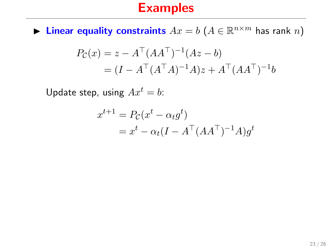**Linear equality constraints**  $Ax = b$   $(A \in \mathbb{R}^{n \times m}$  has rank n)

$$
P_{\mathcal{C}}(x) = z - A^{\top} (A A^{\top})^{-1} (A z - b)
$$
  
=  $(I - A^{\top} (A^{\top} A)^{-1} A) z + A^{\top} (A A^{\top})^{-1} b$ 

Update step, using  $Ax^t = b$ :

$$
x^{t+1} = P_{\mathcal{C}}(x^t - \alpha_t g^t)
$$
  
=  $x^t - \alpha_t (I - A^{\top} (AA^{\top})^{-1} A) g^t$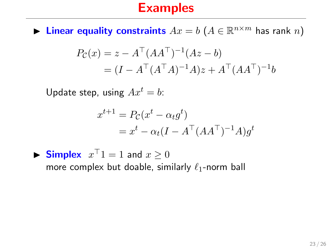**Linear equality constraints**  $Ax = b$   $(A \in \mathbb{R}^{n \times m}$  has rank n)

$$
P_{\mathcal{C}}(x) = z - A^{\top} (A A^{\top})^{-1} (A z - b)
$$
  
=  $(I - A^{\top} (A^{\top} A)^{-1} A) z + A^{\top} (A A^{\top})^{-1} b$ 

Update step, using  $Ax^t = b$ :

$$
x^{t+1} = P_{\mathcal{C}}(x^t - \alpha_t g^t)
$$
  
=  $x^t - \alpha_t (I - A^{\top} (AA^{\top})^{-1} A) g^t$ 

 $\blacktriangleright$  Simplex  $x^{\top}1 = 1$  and  $x \geq 0$ more complex but doable, similarly  $\ell_1$ -norm ball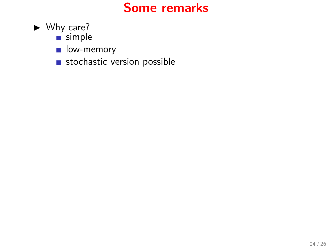### Some remarks

- $\blacktriangleright$  Why care?
	- $\overline{\phantom{a}}$  simple
	- low-memory
	- stochastic version possible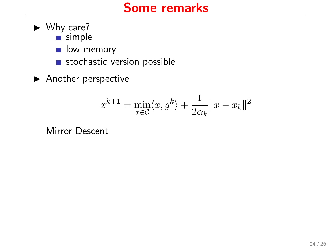# Some remarks

- $\blacktriangleright$  Why care?
	- $\overline{\phantom{a}}$  simple
	- low-memory
	- stochastic version possible
- $\blacktriangleright$  Another perspective

$$
x^{k+1} = \min_{x \in C} \langle x, g^k \rangle + \frac{1}{2\alpha_k} ||x - x_k||^2
$$

Mirror Descent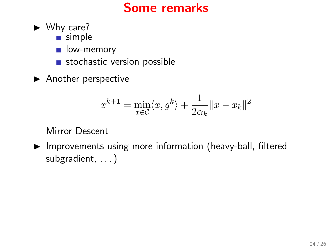- $\blacktriangleright$  Why care?
	- simple
	- low-memory  $\mathcal{L}_{\mathcal{A}}$
	- stochastic version possible  $\overline{\mathcal{A}}$
- $\blacktriangleright$  Another perspective

$$
x^{k+1} = \min_{x \in \mathcal{C}} \langle x, g^k \rangle + \frac{1}{2\alpha_k} ||x - x_k||^2
$$

#### Mirror Descent

 $\blacktriangleright$  Improvements using more information (heavy-ball, filtered subgradient, ...)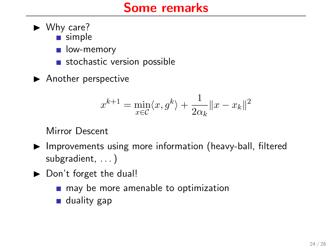- $\blacktriangleright$  Why care?
	- simple
	- low-memory  $\mathcal{L}_{\mathcal{A}}$
	- stochastic version possible  $\mathcal{L}_{\mathcal{A}}$
- $\blacktriangleright$  Another perspective

$$
x^{k+1} = \min_{x \in \mathcal{C}} \langle x, g^k \rangle + \frac{1}{2\alpha_k} ||x - x_k||^2
$$

#### Mirror Descent

- $\blacktriangleright$  Improvements using more information (heavy-ball, filtered subgradient, . . . )
- $\triangleright$  Don't forget the dual!
	- may be more amenable to optimization  $\sim$
	- duality gap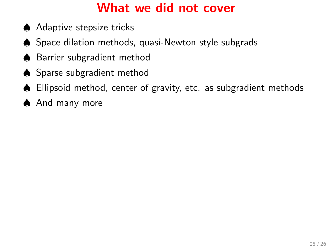# What we did not cover

- ♠ Adaptive stepsize tricks
- ♠ Space dilation methods, quasi-Newton style subgrads
- ♠ Barrier subgradient method
- ♠ Sparse subgradient method
- ♠ Ellipsoid method, center of gravity, etc. as subgradient methods
- ♠ And many more